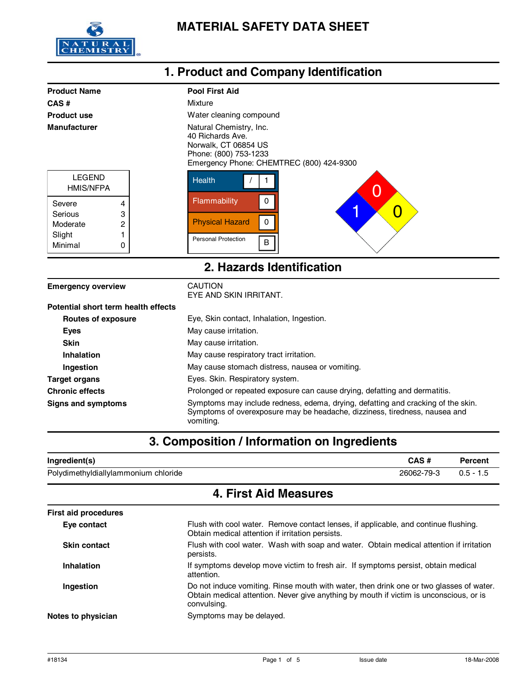

#### **Product Name** Pool First Aid **1. Product and Company Identification CAS #** Mixture **Water cleaning compound Product use Manufacturer** Matural Chemistry, Inc. 40 Richards Ave. Norwalk, CT 06854 US Phone: (800) 753-1233 Emergency Phone: CHEMTREC (800) 424-9300 Personal Protection Physical Hazard **Flammability Health** B 0 0  $/$  1 Minimal Slight Moderate Serious LEGEND 4 3 2 1  $\Omega$ Severe 0 1  $\times$  0 HMIS/NFPA **2. Hazards Identification**

| <b>Emergency overview</b>           | CAUTION<br>EYE AND SKIN IRRITANT.                                                                                                                                           |
|-------------------------------------|-----------------------------------------------------------------------------------------------------------------------------------------------------------------------------|
| Potential short term health effects |                                                                                                                                                                             |
| <b>Routes of exposure</b>           | Eye, Skin contact, Inhalation, Ingestion.                                                                                                                                   |
| <b>Eyes</b>                         | May cause irritation.                                                                                                                                                       |
| <b>Skin</b>                         | May cause irritation.                                                                                                                                                       |
| Inhalation                          | May cause respiratory tract irritation.                                                                                                                                     |
| Ingestion                           | May cause stomach distress, nausea or vomiting.                                                                                                                             |
| <b>Target organs</b>                | Eyes. Skin. Respiratory system.                                                                                                                                             |
| <b>Chronic effects</b>              | Prolonged or repeated exposure can cause drying, defatting and dermatitis.                                                                                                  |
| Signs and symptoms                  | Symptoms may include redness, edema, drying, defatting and cracking of the skin.<br>Symptoms of overexposure may be headache, dizziness, tiredness, nausea and<br>vomiting. |

## **3. Composition / Information on Ingredients**

| Ingredient(s)                        | CAS #      | Percent |
|--------------------------------------|------------|---------|
| Polydimethyldiallylammonium chloride | 26062-79-3 |         |

## **4. First Aid Measures**

| <b>First aid procedures</b> |                                                                                                                                                                                                  |  |
|-----------------------------|--------------------------------------------------------------------------------------------------------------------------------------------------------------------------------------------------|--|
| Eye contact                 | Flush with cool water. Remove contact lenses, if applicable, and continue flushing.<br>Obtain medical attention if irritation persists.                                                          |  |
| <b>Skin contact</b>         | Flush with cool water. Wash with soap and water. Obtain medical attention if irritation<br>persists.                                                                                             |  |
| <b>Inhalation</b>           | If symptoms develop move victim to fresh air. If symptoms persist, obtain medical<br>attention.                                                                                                  |  |
| <b>Ingestion</b>            | Do not induce vomiting. Rinse mouth with water, then drink one or two glasses of water.<br>Obtain medical attention. Never give anything by mouth if victim is unconscious, or is<br>convulsing. |  |
| Notes to physician          | Symptoms may be delayed.                                                                                                                                                                         |  |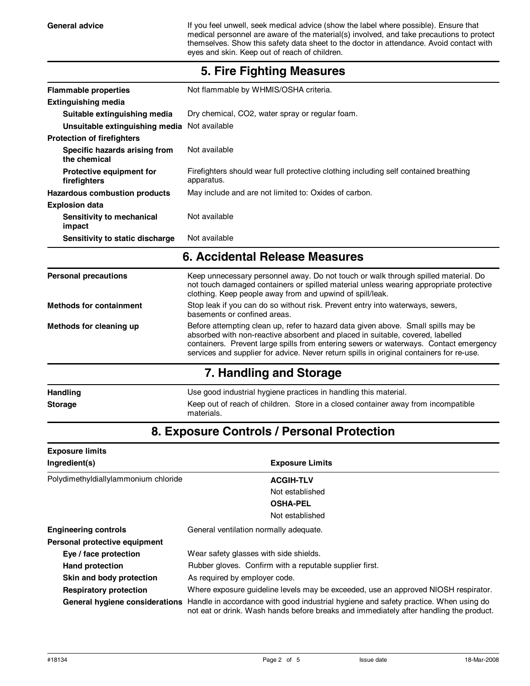General advice **If you feel unwell, seek medical advice (show the label where possible). Ensure that** medical personnel are aware of the material(s) involved, and take precautions to protect themselves. Show this safety data sheet to the doctor in attendance. Avoid contact with eyes and skin. Keep out of reach of children.

| <b>Flammable properties</b>                   | Not flammable by WHMIS/OSHA criteria.                                                                                                                                                                                                                                                                                                                    |  |
|-----------------------------------------------|----------------------------------------------------------------------------------------------------------------------------------------------------------------------------------------------------------------------------------------------------------------------------------------------------------------------------------------------------------|--|
| <b>Extinguishing media</b>                    |                                                                                                                                                                                                                                                                                                                                                          |  |
| Suitable extinguishing media                  | Dry chemical, CO2, water spray or regular foam.                                                                                                                                                                                                                                                                                                          |  |
| Unsuitable extinguishing media Not available  |                                                                                                                                                                                                                                                                                                                                                          |  |
| <b>Protection of firefighters</b>             |                                                                                                                                                                                                                                                                                                                                                          |  |
| Specific hazards arising from<br>the chemical | Not available                                                                                                                                                                                                                                                                                                                                            |  |
| Protective equipment for<br>firefighters      | Firefighters should wear full protective clothing including self contained breathing<br>apparatus.                                                                                                                                                                                                                                                       |  |
| <b>Hazardous combustion products</b>          | May include and are not limited to: Oxides of carbon.                                                                                                                                                                                                                                                                                                    |  |
| <b>Explosion data</b>                         |                                                                                                                                                                                                                                                                                                                                                          |  |
| Sensitivity to mechanical<br>impact           | Not available                                                                                                                                                                                                                                                                                                                                            |  |
| Sensitivity to static discharge               | Not available                                                                                                                                                                                                                                                                                                                                            |  |
|                                               | 6. Accidental Release Measures                                                                                                                                                                                                                                                                                                                           |  |
| <b>Personal precautions</b>                   | Keep unnecessary personnel away. Do not touch or walk through spilled material. Do<br>not touch damaged containers or spilled material unless wearing appropriate protective<br>clothing. Keep people away from and upwind of spill/leak.                                                                                                                |  |
| <b>Methods for containment</b>                | Stop leak if you can do so without risk. Prevent entry into waterways, sewers,<br>basements or confined areas.                                                                                                                                                                                                                                           |  |
| Methods for cleaning up                       | Before attempting clean up, refer to hazard data given above. Small spills may be<br>absorbed with non-reactive absorbent and placed in suitable, covered, labelled<br>containers. Prevent large spills from entering sewers or waterways. Contact emergency<br>services and supplier for advice. Never return spills in original containers for re-use. |  |
|                                               | 7. Handling and Storage                                                                                                                                                                                                                                                                                                                                  |  |
| <b>Handling</b>                               | Use good industrial hygiene practices in handling this material.                                                                                                                                                                                                                                                                                         |  |

### **5. Fire Fighting Measures**

## **8. Exposure Controls / Personal Protection**

**Storage** Keep out of reach of children. Store in a closed container away from incompatible

materials.

| <b>Exposure limits</b>               |                                                                                                                                                                                |  |
|--------------------------------------|--------------------------------------------------------------------------------------------------------------------------------------------------------------------------------|--|
| Ingredient(s)                        | <b>Exposure Limits</b>                                                                                                                                                         |  |
| Polydimethyldiallylammonium chloride | <b>ACGIH-TLV</b>                                                                                                                                                               |  |
|                                      | Not established                                                                                                                                                                |  |
|                                      | <b>OSHA-PEL</b>                                                                                                                                                                |  |
|                                      | Not established                                                                                                                                                                |  |
| <b>Engineering controls</b>          | General ventilation normally adequate.                                                                                                                                         |  |
| Personal protective equipment        |                                                                                                                                                                                |  |
| Eye / face protection                | Wear safety glasses with side shields.                                                                                                                                         |  |
| <b>Hand protection</b>               | Rubber gloves. Confirm with a reputable supplier first.                                                                                                                        |  |
| Skin and body protection             | As required by employer code.                                                                                                                                                  |  |
| <b>Respiratory protection</b>        | Where exposure guideline levels may be exceeded, use an approved NIOSH respirator.                                                                                             |  |
| General hygiene considerations       | Handle in accordance with good industrial hygiene and safety practice. When using do<br>not eat or drink. Wash hands before breaks and immediately after handling the product. |  |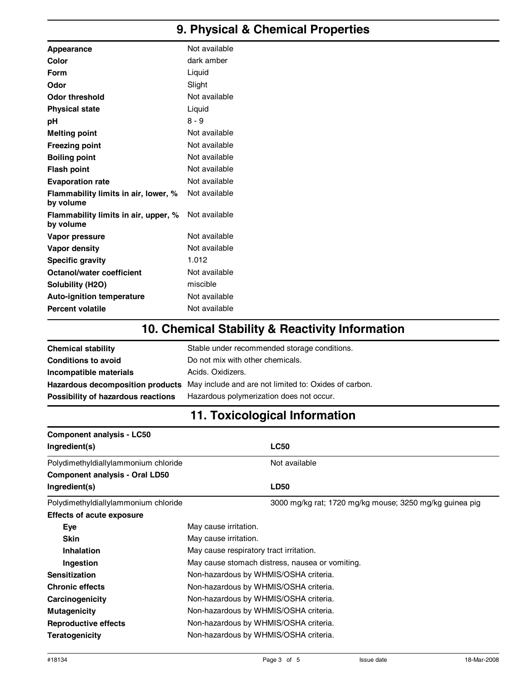## **9. Physical & Chemical Properties**

| Appearance                                        | Not available |
|---------------------------------------------------|---------------|
| Color                                             | dark amber    |
| Form                                              | Liquid        |
| Odor                                              | Slight        |
| <b>Odor threshold</b>                             | Not available |
| <b>Physical state</b>                             | Liquid        |
| pH                                                | $8 - 9$       |
| <b>Melting point</b>                              | Not available |
| <b>Freezing point</b>                             | Not available |
| <b>Boiling point</b>                              | Not available |
| <b>Flash point</b>                                | Not available |
| <b>Evaporation rate</b>                           | Not available |
| Flammability limits in air, lower, %<br>by volume | Not available |
| Flammability limits in air, upper, %<br>by volume | Not available |
| Vapor pressure                                    | Not available |
| Vapor density                                     | Not available |
| <b>Specific gravity</b>                           | 1.012         |
| <b>Octanol/water coefficient</b>                  | Not available |
| Solubility (H2O)                                  | miscible      |
| Auto-ignition temperature                         | Not available |
| <b>Percent volatile</b>                           | Not available |

## **10. Chemical Stability & Reactivity Information**

| <b>Chemical stability</b>          | Stable under recommended storage conditions.                                           |
|------------------------------------|----------------------------------------------------------------------------------------|
| <b>Conditions to avoid</b>         | Do not mix with other chemicals.                                                       |
| Incompatible materials             | Acids, Oxidizers.                                                                      |
|                                    | Hazardous decomposition products May include and are not limited to: Oxides of carbon. |
| Possibility of hazardous reactions | Hazardous polymerization does not occur.                                               |

## **11. Toxicological Information**

| <b>Component analysis - LC50</b>      |                                                         |  |
|---------------------------------------|---------------------------------------------------------|--|
| Ingredient(s)                         | <b>LC50</b>                                             |  |
| Polydimethyldiallylammonium chloride  | Not available                                           |  |
| <b>Component analysis - Oral LD50</b> |                                                         |  |
| Ingredient(s)                         | <b>LD50</b>                                             |  |
| Polydimethyldiallylammonium chloride  | 3000 mg/kg rat; 1720 mg/kg mouse; 3250 mg/kg guinea pig |  |
| <b>Effects of acute exposure</b>      |                                                         |  |
| Eye                                   | May cause irritation.                                   |  |
| <b>Skin</b>                           | May cause irritation.                                   |  |
| <b>Inhalation</b>                     | May cause respiratory tract irritation.                 |  |
| Ingestion                             | May cause stomach distress, nausea or vomiting.         |  |
| <b>Sensitization</b>                  | Non-hazardous by WHMIS/OSHA criteria.                   |  |
| <b>Chronic effects</b>                | Non-hazardous by WHMIS/OSHA criteria.                   |  |
| Carcinogenicity                       | Non-hazardous by WHMIS/OSHA criteria.                   |  |
| <b>Mutagenicity</b>                   | Non-hazardous by WHMIS/OSHA criteria.                   |  |
| Reproductive effects                  | Non-hazardous by WHMIS/OSHA criteria.                   |  |
| <b>Teratogenicity</b>                 | Non-hazardous by WHMIS/OSHA criteria.                   |  |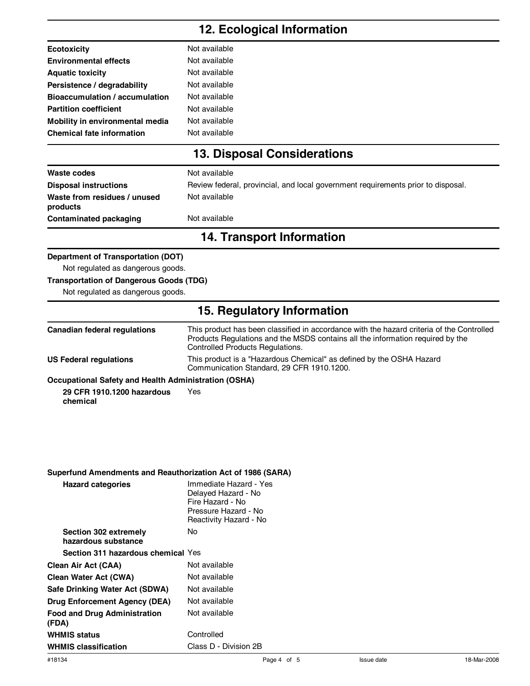### **12. Ecological Information**

| <b>Ecotoxicity</b>               | Not available |
|----------------------------------|---------------|
| <b>Environmental effects</b>     | Not available |
| <b>Aquatic toxicity</b>          | Not available |
| Persistence / degradability      | Not available |
| Bioaccumulation / accumulation   | Not available |
| <b>Partition coefficient</b>     | Not available |
| Mobility in environmental media  | Not available |
| <b>Chemical fate information</b> | Not available |
|                                  |               |

## **13. Disposal Considerations**

| Waste codes                              | Not available                                                                    |
|------------------------------------------|----------------------------------------------------------------------------------|
| <b>Disposal instructions</b>             | Review federal, provincial, and local government requirements prior to disposal. |
| Waste from residues / unused<br>products | Not available                                                                    |
| Contaminated packaging                   | Not available                                                                    |

### **14. Transport Information**

#### **Department of Transportation (DOT)**

Not regulated as dangerous goods.

#### **Transportation of Dangerous Goods (TDG)**

Not regulated as dangerous goods.

### **15. Regulatory Information**

| Canadian federal regulations                         | This product has been classified in accordance with the hazard criteria of the Controlled<br>Products Regulations and the MSDS contains all the information required by the<br><b>Controlled Products Regulations.</b> |
|------------------------------------------------------|------------------------------------------------------------------------------------------------------------------------------------------------------------------------------------------------------------------------|
| US Federal regulations                               | This product is a "Hazardous Chemical" as defined by the OSHA Hazard<br>Communication Standard, 29 CFR 1910.1200.                                                                                                      |
| According to Additional Health Administration (AOHA) |                                                                                                                                                                                                                        |

#### **Occupational Safety and Health Administration (OSHA)**

**29 CFR 1910.1200 hazardous chemical** Yes

#### **Superfund Amendments and Reauthorization Act of 1986 (SARA)**

| <b>Hazard categories</b>                     | Immediate Hazard - Yes<br>Delayed Hazard - No<br>Fire Hazard - No<br>Pressure Hazard - No<br>Reactivity Hazard - No |
|----------------------------------------------|---------------------------------------------------------------------------------------------------------------------|
| Section 302 extremely<br>hazardous substance | No                                                                                                                  |
| Section 311 hazardous chemical Yes           |                                                                                                                     |
| Clean Air Act (CAA)                          | Not available                                                                                                       |
| Clean Water Act (CWA)                        | Not available                                                                                                       |
| Safe Drinking Water Act (SDWA)               | Not available                                                                                                       |
| Drug Enforcement Agency (DEA)                | Not available                                                                                                       |
| <b>Food and Drug Administration</b><br>(FDA) | Not available                                                                                                       |
| <b>WHMIS status</b>                          | Controlled                                                                                                          |
| <b>WHMIS classification</b>                  | Class D - Division 2B                                                                                               |